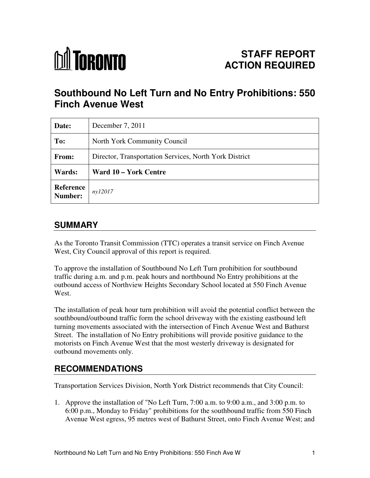

# **Southbound No Left Turn and No Entry Prohibitions: 550 Finch Avenue West**

| Date:                | December 7, 2011                                       |
|----------------------|--------------------------------------------------------|
| To:                  | North York Community Council                           |
| From:                | Director, Transportation Services, North York District |
| Wards:               | Ward 10 – York Centre                                  |
| Reference<br>Number: | ny12017                                                |

# **SUMMARY**

As the Toronto Transit Commission (TTC) operates a transit service on Finch Avenue West, City Council approval of this report is required.

To approve the installation of Southbound No Left Turn prohibition for southbound traffic during a.m. and p.m. peak hours and northbound No Entry prohibitions at the outbound access of Northview Heights Secondary School located at 550 Finch Avenue West.

The installation of peak hour turn prohibition will avoid the potential conflict between the southbound/outbound traffic form the school driveway with the existing eastbound left turning movements associated with the intersection of Finch Avenue West and Bathurst Street. The installation of No Entry prohibitions will provide positive guidance to the motorists on Finch Avenue West that the most westerly driveway is designated for outbound movements only.

# **RECOMMENDATIONS**

Transportation Services Division, North York District recommends that City Council:

1. Approve the installation of "No Left Turn, 7:00 a.m. to 9:00 a.m., and 3:00 p.m. to 6:00 p.m., Monday to Friday" prohibitions for the southbound traffic from 550 Finch Avenue West egress, 95 metres west of Bathurst Street, onto Finch Avenue West; and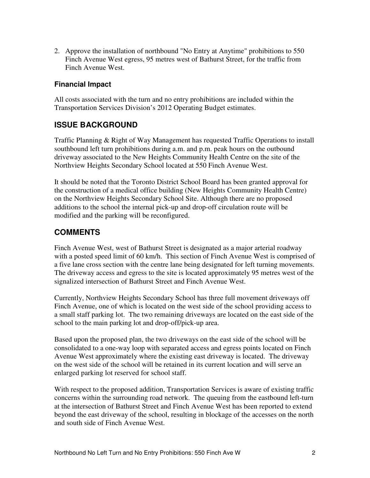2. Approve the installation of northbound "No Entry at Anytime" prohibitions to 550 Finch Avenue West egress, 95 metres west of Bathurst Street, for the traffic from Finch Avenue West.

#### **Financial Impact**

All costs associated with the turn and no entry prohibitions are included within the Transportation Services Division's 2012 Operating Budget estimates.

## **ISSUE BACKGROUND**

Traffic Planning & Right of Way Management has requested Traffic Operations to install southbound left turn prohibitions during a.m. and p.m. peak hours on the outbound driveway associated to the New Heights Community Health Centre on the site of the Northview Heights Secondary School located at 550 Finch Avenue West.

It should be noted that the Toronto District School Board has been granted approval for the construction of a medical office building (New Heights Community Health Centre) on the Northview Heights Secondary School Site. Although there are no proposed additions to the school the internal pick-up and drop-off circulation route will be modified and the parking will be reconfigured.

## **COMMENTS**

Finch Avenue West, west of Bathurst Street is designated as a major arterial roadway with a posted speed limit of 60 km/h. This section of Finch Avenue West is comprised of a five lane cross section with the centre lane being designated for left turning movements. The driveway access and egress to the site is located approximately 95 metres west of the signalized intersection of Bathurst Street and Finch Avenue West.

Currently, Northview Heights Secondary School has three full movement driveways off Finch Avenue, one of which is located on the west side of the school providing access to a small staff parking lot. The two remaining driveways are located on the east side of the school to the main parking lot and drop-off/pick-up area.

Based upon the proposed plan, the two driveways on the east side of the school will be consolidated to a one-way loop with separated access and egress points located on Finch Avenue West approximately where the existing east driveway is located. The driveway on the west side of the school will be retained in its current location and will serve an enlarged parking lot reserved for school staff.

With respect to the proposed addition, Transportation Services is aware of existing traffic concerns within the surrounding road network. The queuing from the eastbound left-turn at the intersection of Bathurst Street and Finch Avenue West has been reported to extend beyond the east driveway of the school, resulting in blockage of the accesses on the north and south side of Finch Avenue West.